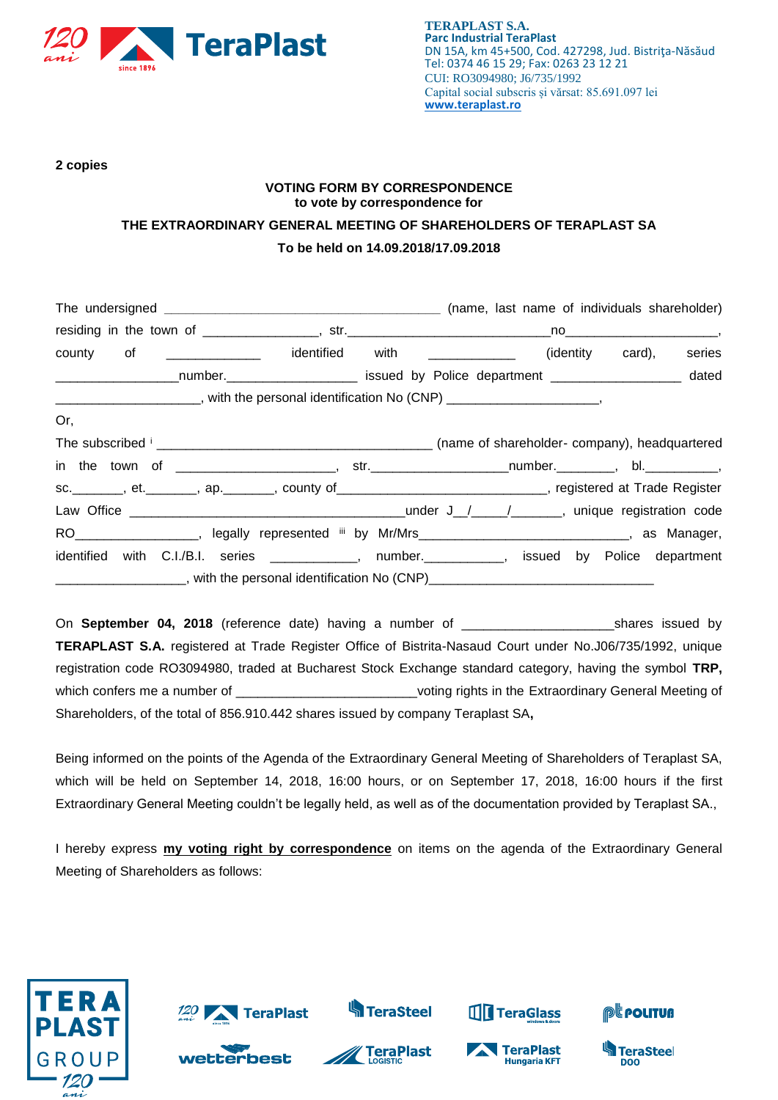

**2 copies**

## **VOTING FORM BY CORRESPONDENCE to vote by correspondence for THE EXTRAORDINARY GENERAL MEETING OF SHAREHOLDERS OF TERAPLAST SA To be held on 14.09.2018/17.09.2018**

|     | county of ____________ identified with ___________ (identity card),                                           |  |  | series |
|-----|---------------------------------------------------------------------------------------------------------------|--|--|--------|
|     | ____________________number.________________________ issued by Police department ____________________ dated    |  |  |        |
|     | _________________________, with the personal identification No (CNP) ________________________,                |  |  |        |
| Or, |                                                                                                               |  |  |        |
|     |                                                                                                               |  |  |        |
|     | in the town of _______________________, str.______________________number._________, bl.____________,          |  |  |        |
|     | sc. ________, et. _______, ap. _______, county of _____________________________, registered at Trade Register |  |  |        |
|     |                                                                                                               |  |  |        |
|     | RO__________________, legally represented iii by Mr/Mrs______________________________, as Manager,            |  |  |        |
|     | identified with C.I./B.I. series ____________, number.__________, issued by Police department                 |  |  |        |
|     |                                                                                                               |  |  |        |

On **September 04, 2018** (reference date) having a number of \_\_\_\_\_\_\_\_\_\_\_\_\_\_\_\_\_\_\_\_\_shares issued by **TERAPLAST S.A.** registered at Trade Register Office of Bistrita-Nasaud Court under No.J06/735/1992, unique registration code RO3094980, traded at Bucharest Stock Exchange standard category, having the symbol **TRP,** which confers me a number of \_\_\_\_\_\_\_\_\_\_\_\_\_\_\_\_\_\_\_\_\_\_\_\_\_\_\_\_\_\_voting rights in the Extraordinary General Meeting of Shareholders, of the total of 856.910.442 shares issued by company Teraplast SA**,**

Being informed on the points of the Agenda of the Extraordinary General Meeting of Shareholders of Teraplast SA, which will be held on September 14, 2018, 16:00 hours, or on September 17, 2018, 16:00 hours if the first Extraordinary General Meeting couldn't be legally held, as well as of the documentation provided by Teraplast SA.,

I hereby express **my voting right by correspondence** on items on the agenda of the Extraordinary General Meeting of Shareholders as follows:









**S**TeraSteel





**THE TeraGlass** 



**TeraSteel** 

**DOO**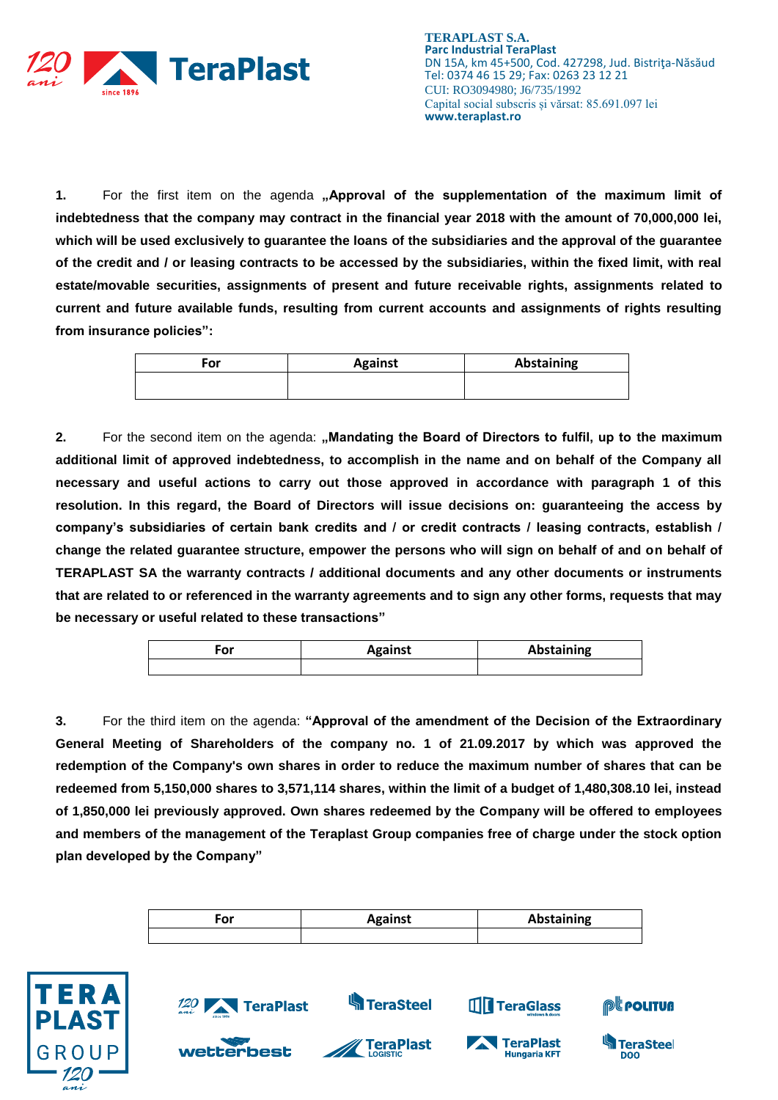

**1.** For the first item on the agenda **"Approval of the supplementation of the maximum limit of indebtedness that the company may contract in the financial year 2018 with the amount of 70,000,000 lei, which will be used exclusively to guarantee the loans of the subsidiaries and the approval of the guarantee of the credit and / or leasing contracts to be accessed by the subsidiaries, within the fixed limit, with real estate/movable securities, assignments of present and future receivable rights, assignments related to current and future available funds, resulting from current accounts and assignments of rights resulting from insurance policies":**

| For | <b>Against</b> | Abstaining |
|-----|----------------|------------|
|     |                |            |

**2.** For the second item on the agenda: **"Mandating the Board of Directors to fulfil, up to the maximum additional limit of approved indebtedness, to accomplish in the name and on behalf of the Company all necessary and useful actions to carry out those approved in accordance with paragraph 1 of this resolution. In this regard, the Board of Directors will issue decisions on: guaranteeing the access by company's subsidiaries of certain bank credits and / or credit contracts / leasing contracts, establish / change the related guarantee structure, empower the persons who will sign on behalf of and on behalf of TERAPLAST SA the warranty contracts / additional documents and any other documents or instruments that are related to or referenced in the warranty agreements and to sign any other forms, requests that may be necessary or useful related to these transactions"**

| .<br>۰O۱ | <b>Against</b> | Abstaining |
|----------|----------------|------------|
|          |                |            |

**3.** For the third item on the agenda: **"Approval of the amendment of the Decision of the Extraordinary General Meeting of Shareholders of the company no. 1 of 21.09.2017 by which was approved the redemption of the Company's own shares in order to reduce the maximum number of shares that can be redeemed from 5,150,000 shares to 3,571,114 shares, within the limit of a budget of 1,480,308.10 lei, instead of 1,850,000 lei previously approved. Own shares redeemed by the Company will be offered to employees and members of the management of the Teraplast Group companies free of charge under the stock option plan developed by the Company"**

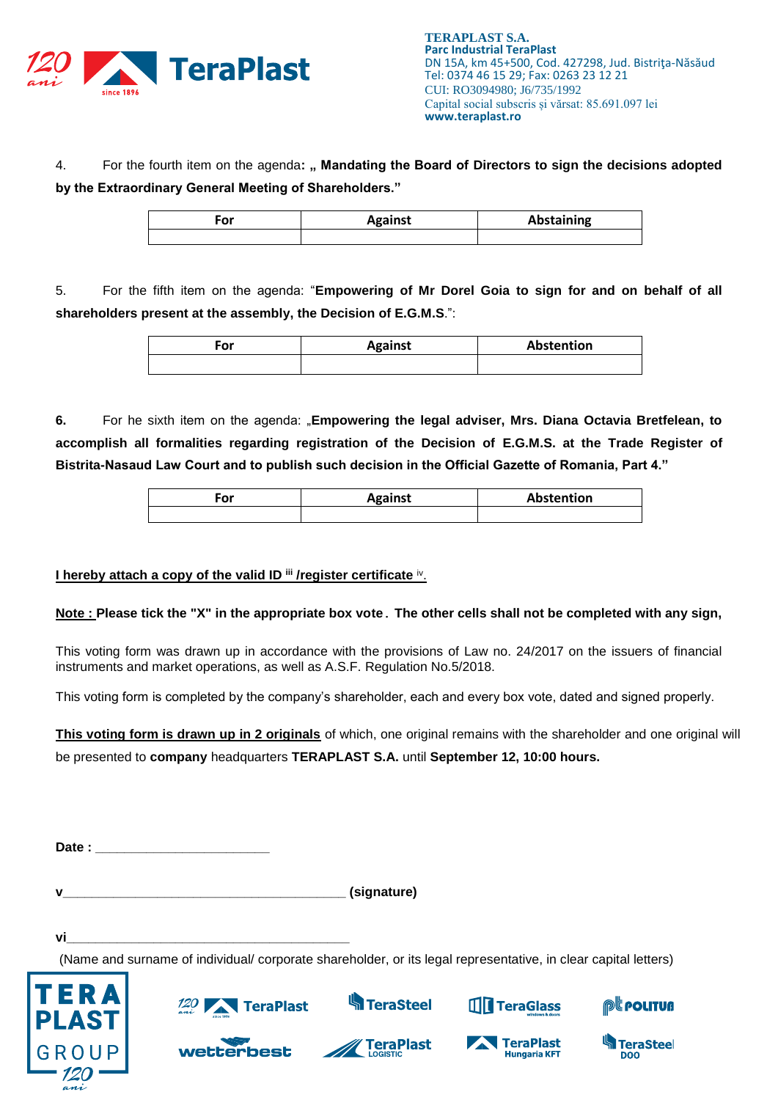

4. For the fourth item on the agenda**: " Mandating the Board of Directors to sign the decisions adopted by the Extraordinary General Meeting of Shareholders."**

| Ξor | <b>Against</b> | Abstaining |
|-----|----------------|------------|
|     |                |            |

5. For the fifth item on the agenda: "**Empowering of Mr Dorel Goia to sign for and on behalf of all shareholders present at the assembly, the Decision of E.G.M.S**.":

| ∙or | <b>Against</b> | Abstention |
|-----|----------------|------------|
|     |                |            |

**6.** For he sixth item on the agenda: "**Empowering the legal adviser, Mrs. Diana Octavia Bretfelean, to accomplish all formalities regarding registration of the Decision of E.G.M.S. at the Trade Register of Bistrita-Nasaud Law Court and to publish such decision in the Official Gazette of Romania, Part 4."**

| or | <b>Against</b> | Abstention |
|----|----------------|------------|
|    |                |            |

## **I hereby attach a copy of the valid ID iii /register certificate** iv .

## **Note : Please tick the "X" in the appropriate box vote**. **The other cells shall not be completed with any sign,**

This voting form was drawn up in accordance with the provisions of Law no. 24/2017 on the issuers of financial instruments and market operations, as well as A.S.F. Regulation No.5/2018.

This voting form is completed by the company's shareholder, each and every box vote, dated and signed properly.

**This voting form is drawn up in 2 originals** of which, one original remains with the shareholder and one original will be presented to **company** headquarters **TERAPLAST S.A.** until **September 12, 10:00 hours.**

| M | <i>(signature)</i> |
|---|--------------------|
|   |                    |

**vi\_\_\_\_\_\_\_\_\_\_\_\_\_\_\_\_\_\_\_\_\_\_\_\_\_\_\_\_\_\_\_\_\_\_\_\_\_\_\_**

(Name and surname of individual/ corporate shareholder, or its legal representative, in clear capital letters)





wetterbest



**TeraPlast** 



**Hungaria KFT** 



@Ë POLITUA